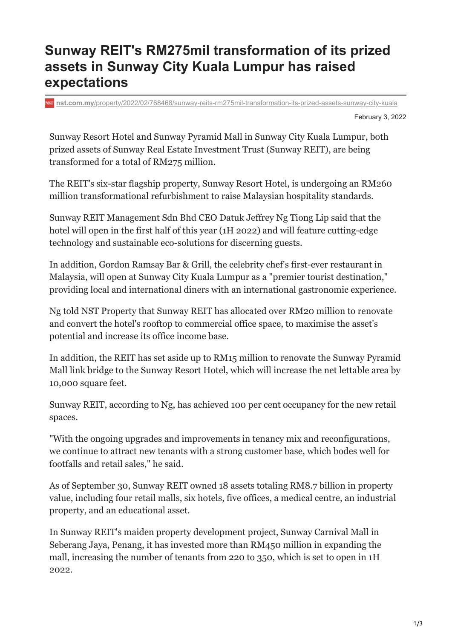## **Sunway REIT's RM275mil transformation of its prized assets in Sunway City Kuala Lumpur has raised expectations**

**nst.com.my**[/property/2022/02/768468/sunway-reits-rm275mil-transformation-its-prized-assets-sunway-city-kuala](https://www.nst.com.my/property/2022/02/768468/sunway-reits-rm275mil-transformation-its-prized-assets-sunway-city-kuala)

February 3, 2022

Sunway Resort Hotel and Sunway Pyramid Mall in Sunway City Kuala Lumpur, both prized assets of Sunway Real Estate Investment Trust (Sunway REIT), are being transformed for a total of RM275 million.

The REIT's six-star flagship property, Sunway Resort Hotel, is undergoing an RM260 million transformational refurbishment to raise Malaysian hospitality standards.

Sunway REIT Management Sdn Bhd CEO Datuk Jeffrey Ng Tiong Lip said that the hotel will open in the first half of this year (1H 2022) and will feature cutting-edge technology and sustainable eco-solutions for discerning guests.

In addition, Gordon Ramsay Bar & Grill, the celebrity chef's first-ever restaurant in Malaysia, will open at Sunway City Kuala Lumpur as a "premier tourist destination," providing local and international diners with an international gastronomic experience.

Ng told NST Property that Sunway REIT has allocated over RM20 million to renovate and convert the hotel's rooftop to commercial office space, to maximise the asset's potential and increase its office income base.

In addition, the REIT has set aside up to RM15 million to renovate the Sunway Pyramid Mall link bridge to the Sunway Resort Hotel, which will increase the net lettable area by 10,000 square feet.

Sunway REIT, according to Ng, has achieved 100 per cent occupancy for the new retail spaces.

"With the ongoing upgrades and improvements in tenancy mix and reconfigurations, we continue to attract new tenants with a strong customer base, which bodes well for footfalls and retail sales," he said.

As of September 30, Sunway REIT owned 18 assets totaling RM8.7 billion in property value, including four retail malls, six hotels, five offices, a medical centre, an industrial property, and an educational asset.

In Sunway REIT's maiden property development project, Sunway Carnival Mall in Seberang Jaya, Penang, it has invested more than RM450 million in expanding the mall, increasing the number of tenants from 220 to 350, which is set to open in 1H 2022.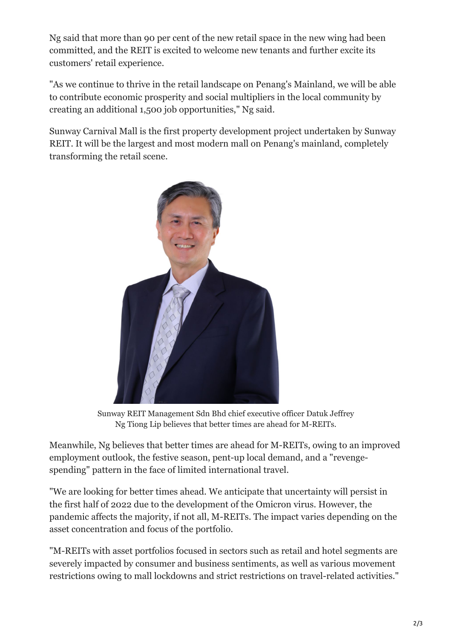Ng said that more than 90 per cent of the new retail space in the new wing had been committed, and the REIT is excited to welcome new tenants and further excite its customers' retail experience.

"As we continue to thrive in the retail landscape on Penang's Mainland, we will be able to contribute economic prosperity and social multipliers in the local community by creating an additional 1,500 job opportunities," Ng said.

Sunway Carnival Mall is the first property development project undertaken by Sunway REIT. It will be the largest and most modern mall on Penang's mainland, completely transforming the retail scene.



Sunway REIT Management Sdn Bhd chief executive officer Datuk Jeffrey Ng Tiong Lip believes that better times are ahead for M-REITs.

Meanwhile, Ng believes that better times are ahead for M-REITs, owing to an improved employment outlook, the festive season, pent-up local demand, and a "revengespending" pattern in the face of limited international travel.

"We are looking for better times ahead. We anticipate that uncertainty will persist in the first half of 2022 due to the development of the Omicron virus. However, the pandemic affects the majority, if not all, M-REITs. The impact varies depending on the asset concentration and focus of the portfolio.

"M-REITs with asset portfolios focused in sectors such as retail and hotel segments are severely impacted by consumer and business sentiments, as well as various movement restrictions owing to mall lockdowns and strict restrictions on travel-related activities."